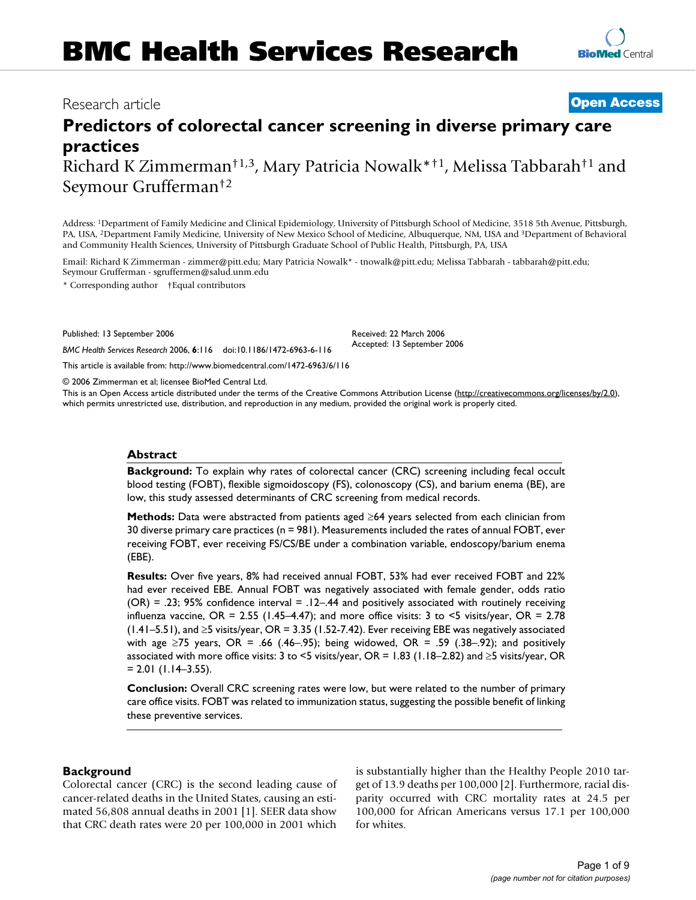# **BMC Health Services Research**

# Research article **[Open Access](http://www.biomedcentral.com/info/about/charter/) Predictors of colorectal cancer screening in diverse primary care**

Received: 22 March 2006 Accepted: 13 September 2006

**practices** Richard K Zimmerman†1,3, Mary Patricia Nowalk\*†1, Melissa Tabbarah†1 and Seymour Grufferman†2

Address: 1Department of Family Medicine and Clinical Epidemiology, University of Pittsburgh School of Medicine, 3518 5th Avenue, Pittsburgh, PA, USA, 2Department Family Medicine, University of New Mexico School of Medicine, Albuquerque, NM, USA and 3Department of Behavioral and Community Health Sciences, University of Pittsburgh Graduate School of Public Health, Pittsburgh, PA, USA

Email: Richard K Zimmerman - zimmer@pitt.edu; Mary Patricia Nowalk\* - tnowalk@pitt.edu; Melissa Tabbarah - tabbarah@pitt.edu; Seymour Grufferman - sgruffermen@salud.unm.edu

\* Corresponding author †Equal contributors

Published: 13 September 2006

*BMC Health Services Research* 2006, **6**:116 doi:10.1186/1472-6963-6-116

[This article is available from: http://www.biomedcentral.com/1472-6963/6/116](http://www.biomedcentral.com/1472-6963/6/116)

© 2006 Zimmerman et al; licensee BioMed Central Ltd.

This is an Open Access article distributed under the terms of the Creative Commons Attribution License [\(http://creativecommons.org/licenses/by/2.0\)](http://creativecommons.org/licenses/by/2.0), which permits unrestricted use, distribution, and reproduction in any medium, provided the original work is properly cited.

#### **Abstract**

**Background:** To explain why rates of colorectal cancer (CRC) screening including fecal occult blood testing (FOBT), flexible sigmoidoscopy (FS), colonoscopy (CS), and barium enema (BE), are low, this study assessed determinants of CRC screening from medical records.

**Methods:** Data were abstracted from patients aged ≥64 years selected from each clinician from 30 diverse primary care practices (n = 981). Measurements included the rates of annual FOBT, ever receiving FOBT, ever receiving FS/CS/BE under a combination variable, endoscopy/barium enema (EBE).

**Results:** Over five years, 8% had received annual FOBT, 53% had ever received FOBT and 22% had ever received EBE. Annual FOBT was negatively associated with female gender, odds ratio  $(OR) = .23$ ; 95% confidence interval = .12–.44 and positively associated with routinely receiving influenza vaccine, OR = 2.55 (1.45–4.47); and more office visits: 3 to <5 visits/year, OR = 2.78 (1.41–5.51), and ≥5 visits/year, OR = 3.35 (1.52-7.42). Ever receiving EBE was negatively associated with age  $\geq$ 75 years, OR = .66 (.46–.95); being widowed, OR = .59 (.38–.92); and positively associated with more office visits: 3 to <5 visits/year, OR = 1.83 (1.18–2.82) and ≥5 visits/year, OR  $= 2.01$  (1.14–3.55).

**Conclusion:** Overall CRC screening rates were low, but were related to the number of primary care office visits. FOBT was related to immunization status, suggesting the possible benefit of linking these preventive services.

# **Background**

Colorectal cancer (CRC) is the second leading cause of cancer-related deaths in the United States, causing an estimated 56,808 annual deaths in 2001 [1]. SEER data show that CRC death rates were 20 per 100,000 in 2001 which is substantially higher than the Healthy People 2010 target of 13.9 deaths per 100,000 [2]. Furthermore, racial disparity occurred with CRC mortality rates at 24.5 per 100,000 for African Americans versus 17.1 per 100,000 for whites.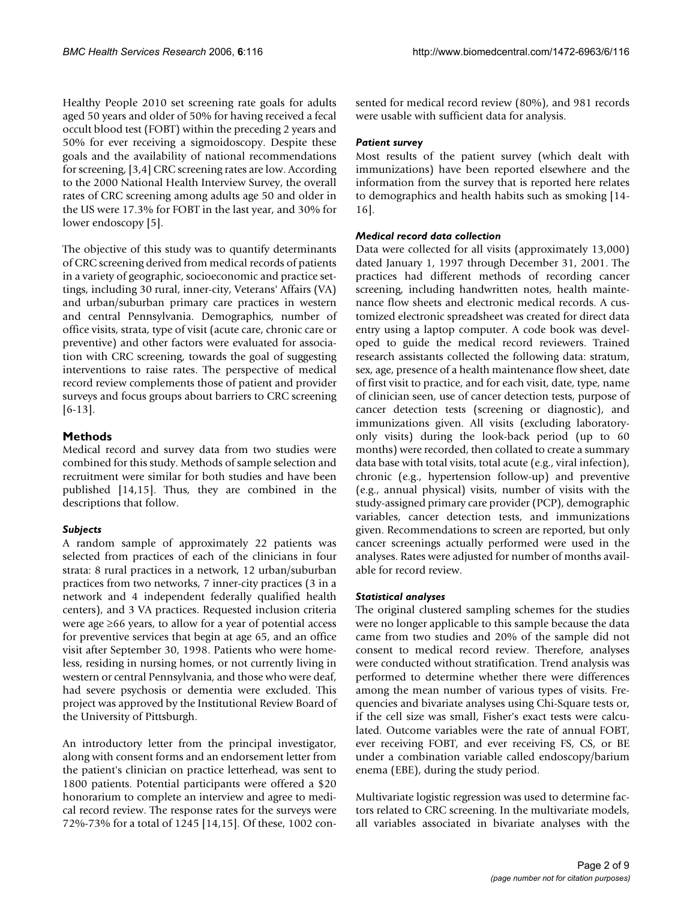Healthy People 2010 set screening rate goals for adults aged 50 years and older of 50% for having received a fecal occult blood test (FOBT) within the preceding 2 years and 50% for ever receiving a sigmoidoscopy. Despite these goals and the availability of national recommendations for screening, [3,4] CRC screening rates are low. According to the 2000 National Health Interview Survey, the overall rates of CRC screening among adults age 50 and older in the US were 17.3% for FOBT in the last year, and 30% for lower endoscopy [5].

The objective of this study was to quantify determinants of CRC screening derived from medical records of patients in a variety of geographic, socioeconomic and practice settings, including 30 rural, inner-city, Veterans' Affairs (VA) and urban/suburban primary care practices in western and central Pennsylvania. Demographics, number of office visits, strata, type of visit (acute care, chronic care or preventive) and other factors were evaluated for association with CRC screening, towards the goal of suggesting interventions to raise rates. The perspective of medical record review complements those of patient and provider surveys and focus groups about barriers to CRC screening [6-13].

# **Methods**

Medical record and survey data from two studies were combined for this study. Methods of sample selection and recruitment were similar for both studies and have been published [14,15]. Thus, they are combined in the descriptions that follow.

# *Subjects*

A random sample of approximately 22 patients was selected from practices of each of the clinicians in four strata: 8 rural practices in a network, 12 urban/suburban practices from two networks, 7 inner-city practices (3 in a network and 4 independent federally qualified health centers), and 3 VA practices. Requested inclusion criteria were age ≥66 years, to allow for a year of potential access for preventive services that begin at age 65, and an office visit after September 30, 1998. Patients who were homeless, residing in nursing homes, or not currently living in western or central Pennsylvania, and those who were deaf, had severe psychosis or dementia were excluded. This project was approved by the Institutional Review Board of the University of Pittsburgh.

An introductory letter from the principal investigator, along with consent forms and an endorsement letter from the patient's clinician on practice letterhead, was sent to 1800 patients. Potential participants were offered a \$20 honorarium to complete an interview and agree to medical record review. The response rates for the surveys were 72%-73% for a total of 1245 [14,15]. Of these, 1002 consented for medical record review (80%), and 981 records were usable with sufficient data for analysis.

# *Patient survey*

Most results of the patient survey (which dealt with immunizations) have been reported elsewhere and the information from the survey that is reported here relates to demographics and health habits such as smoking [14- 16].

## *Medical record data collection*

Data were collected for all visits (approximately 13,000) dated January 1, 1997 through December 31, 2001. The practices had different methods of recording cancer screening, including handwritten notes, health maintenance flow sheets and electronic medical records. A customized electronic spreadsheet was created for direct data entry using a laptop computer. A code book was developed to guide the medical record reviewers. Trained research assistants collected the following data: stratum, sex, age, presence of a health maintenance flow sheet, date of first visit to practice, and for each visit, date, type, name of clinician seen, use of cancer detection tests, purpose of cancer detection tests (screening or diagnostic), and immunizations given. All visits (excluding laboratoryonly visits) during the look-back period (up to 60 months) were recorded, then collated to create a summary data base with total visits, total acute (e.g., viral infection), chronic (e.g., hypertension follow-up) and preventive (e.g., annual physical) visits, number of visits with the study-assigned primary care provider (PCP), demographic variables, cancer detection tests, and immunizations given. Recommendations to screen are reported, but only cancer screenings actually performed were used in the analyses. Rates were adjusted for number of months available for record review.

# *Statistical analyses*

The original clustered sampling schemes for the studies were no longer applicable to this sample because the data came from two studies and 20% of the sample did not consent to medical record review. Therefore, analyses were conducted without stratification. Trend analysis was performed to determine whether there were differences among the mean number of various types of visits. Frequencies and bivariate analyses using Chi-Square tests or, if the cell size was small, Fisher's exact tests were calculated. Outcome variables were the rate of annual FOBT, ever receiving FOBT, and ever receiving FS, CS, or BE under a combination variable called endoscopy/barium enema (EBE), during the study period.

Multivariate logistic regression was used to determine factors related to CRC screening. In the multivariate models, all variables associated in bivariate analyses with the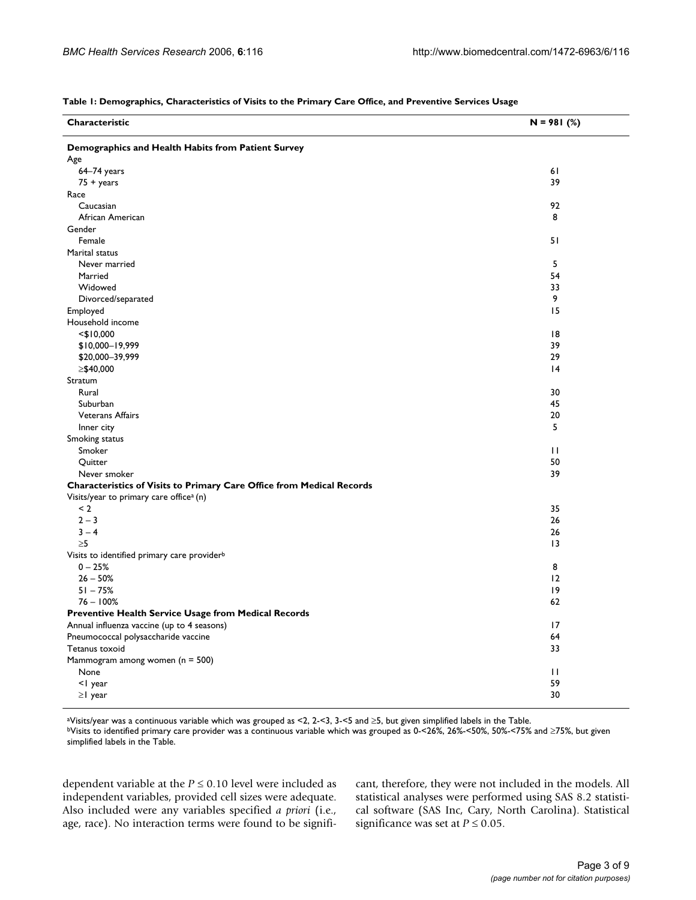| Demographics and Health Habits from Patient Survey<br>Age<br>$64-74$ years<br>61<br>$75 + \text{years}$<br>39<br>Race<br>92<br>Caucasian<br>African American<br>8<br>Gender<br>Female<br>51<br>Marital status<br>5<br>Never married<br>54<br>Married<br>Widowed<br>33<br>9<br>Divorced/separated<br>15<br>Employed<br>Household income<br> 8<br>$<$ \$10,000<br>39<br>\$10,000-19,999<br>29<br>\$20,000-39,999<br>≥\$40,000<br> 4<br>Stratum<br>Rural<br>30<br>45<br>Suburban<br><b>Veterans Affairs</b><br>20<br>5<br>Inner city<br>Smoking status<br>$\mathbf{H}$<br>Smoker<br>50<br>Quitter<br>39<br>Never smoker<br>Characteristics of Visits to Primary Care Office from Medical Records<br>Visits/year to primary care office <sup>a</sup> (n)<br>$\leq$ 2<br>35<br>$2 - 3$<br>26<br>$3 - 4$<br>26<br>$\geq 5$<br>13<br>Visits to identified primary care provider <sup>b</sup><br>8<br>$0 - 25%$<br>$26 - 50%$<br>12<br>$51 - 75%$<br>19<br>$76 - 100%$<br>62<br>Preventive Health Service Usage from Medical Records<br>17<br>Annual influenza vaccine (up to 4 seasons)<br>Pneumococcal polysaccharide vaccine<br>64<br>33<br>Tetanus toxoid | Characteristic                      | $N = 981$ (%) |
|-------------------------------------------------------------------------------------------------------------------------------------------------------------------------------------------------------------------------------------------------------------------------------------------------------------------------------------------------------------------------------------------------------------------------------------------------------------------------------------------------------------------------------------------------------------------------------------------------------------------------------------------------------------------------------------------------------------------------------------------------------------------------------------------------------------------------------------------------------------------------------------------------------------------------------------------------------------------------------------------------------------------------------------------------------------------------------------------------------------------------------------------------------|-------------------------------------|---------------|
|                                                                                                                                                                                                                                                                                                                                                                                                                                                                                                                                                                                                                                                                                                                                                                                                                                                                                                                                                                                                                                                                                                                                                       |                                     |               |
|                                                                                                                                                                                                                                                                                                                                                                                                                                                                                                                                                                                                                                                                                                                                                                                                                                                                                                                                                                                                                                                                                                                                                       |                                     |               |
|                                                                                                                                                                                                                                                                                                                                                                                                                                                                                                                                                                                                                                                                                                                                                                                                                                                                                                                                                                                                                                                                                                                                                       |                                     |               |
|                                                                                                                                                                                                                                                                                                                                                                                                                                                                                                                                                                                                                                                                                                                                                                                                                                                                                                                                                                                                                                                                                                                                                       |                                     |               |
|                                                                                                                                                                                                                                                                                                                                                                                                                                                                                                                                                                                                                                                                                                                                                                                                                                                                                                                                                                                                                                                                                                                                                       |                                     |               |
|                                                                                                                                                                                                                                                                                                                                                                                                                                                                                                                                                                                                                                                                                                                                                                                                                                                                                                                                                                                                                                                                                                                                                       |                                     |               |
|                                                                                                                                                                                                                                                                                                                                                                                                                                                                                                                                                                                                                                                                                                                                                                                                                                                                                                                                                                                                                                                                                                                                                       |                                     |               |
|                                                                                                                                                                                                                                                                                                                                                                                                                                                                                                                                                                                                                                                                                                                                                                                                                                                                                                                                                                                                                                                                                                                                                       |                                     |               |
|                                                                                                                                                                                                                                                                                                                                                                                                                                                                                                                                                                                                                                                                                                                                                                                                                                                                                                                                                                                                                                                                                                                                                       |                                     |               |
|                                                                                                                                                                                                                                                                                                                                                                                                                                                                                                                                                                                                                                                                                                                                                                                                                                                                                                                                                                                                                                                                                                                                                       |                                     |               |
|                                                                                                                                                                                                                                                                                                                                                                                                                                                                                                                                                                                                                                                                                                                                                                                                                                                                                                                                                                                                                                                                                                                                                       |                                     |               |
|                                                                                                                                                                                                                                                                                                                                                                                                                                                                                                                                                                                                                                                                                                                                                                                                                                                                                                                                                                                                                                                                                                                                                       |                                     |               |
|                                                                                                                                                                                                                                                                                                                                                                                                                                                                                                                                                                                                                                                                                                                                                                                                                                                                                                                                                                                                                                                                                                                                                       |                                     |               |
|                                                                                                                                                                                                                                                                                                                                                                                                                                                                                                                                                                                                                                                                                                                                                                                                                                                                                                                                                                                                                                                                                                                                                       |                                     |               |
|                                                                                                                                                                                                                                                                                                                                                                                                                                                                                                                                                                                                                                                                                                                                                                                                                                                                                                                                                                                                                                                                                                                                                       |                                     |               |
|                                                                                                                                                                                                                                                                                                                                                                                                                                                                                                                                                                                                                                                                                                                                                                                                                                                                                                                                                                                                                                                                                                                                                       |                                     |               |
|                                                                                                                                                                                                                                                                                                                                                                                                                                                                                                                                                                                                                                                                                                                                                                                                                                                                                                                                                                                                                                                                                                                                                       |                                     |               |
|                                                                                                                                                                                                                                                                                                                                                                                                                                                                                                                                                                                                                                                                                                                                                                                                                                                                                                                                                                                                                                                                                                                                                       |                                     |               |
|                                                                                                                                                                                                                                                                                                                                                                                                                                                                                                                                                                                                                                                                                                                                                                                                                                                                                                                                                                                                                                                                                                                                                       |                                     |               |
|                                                                                                                                                                                                                                                                                                                                                                                                                                                                                                                                                                                                                                                                                                                                                                                                                                                                                                                                                                                                                                                                                                                                                       |                                     |               |
|                                                                                                                                                                                                                                                                                                                                                                                                                                                                                                                                                                                                                                                                                                                                                                                                                                                                                                                                                                                                                                                                                                                                                       |                                     |               |
|                                                                                                                                                                                                                                                                                                                                                                                                                                                                                                                                                                                                                                                                                                                                                                                                                                                                                                                                                                                                                                                                                                                                                       |                                     |               |
|                                                                                                                                                                                                                                                                                                                                                                                                                                                                                                                                                                                                                                                                                                                                                                                                                                                                                                                                                                                                                                                                                                                                                       |                                     |               |
|                                                                                                                                                                                                                                                                                                                                                                                                                                                                                                                                                                                                                                                                                                                                                                                                                                                                                                                                                                                                                                                                                                                                                       |                                     |               |
|                                                                                                                                                                                                                                                                                                                                                                                                                                                                                                                                                                                                                                                                                                                                                                                                                                                                                                                                                                                                                                                                                                                                                       |                                     |               |
|                                                                                                                                                                                                                                                                                                                                                                                                                                                                                                                                                                                                                                                                                                                                                                                                                                                                                                                                                                                                                                                                                                                                                       |                                     |               |
|                                                                                                                                                                                                                                                                                                                                                                                                                                                                                                                                                                                                                                                                                                                                                                                                                                                                                                                                                                                                                                                                                                                                                       |                                     |               |
|                                                                                                                                                                                                                                                                                                                                                                                                                                                                                                                                                                                                                                                                                                                                                                                                                                                                                                                                                                                                                                                                                                                                                       |                                     |               |
|                                                                                                                                                                                                                                                                                                                                                                                                                                                                                                                                                                                                                                                                                                                                                                                                                                                                                                                                                                                                                                                                                                                                                       |                                     |               |
|                                                                                                                                                                                                                                                                                                                                                                                                                                                                                                                                                                                                                                                                                                                                                                                                                                                                                                                                                                                                                                                                                                                                                       |                                     |               |
|                                                                                                                                                                                                                                                                                                                                                                                                                                                                                                                                                                                                                                                                                                                                                                                                                                                                                                                                                                                                                                                                                                                                                       |                                     |               |
|                                                                                                                                                                                                                                                                                                                                                                                                                                                                                                                                                                                                                                                                                                                                                                                                                                                                                                                                                                                                                                                                                                                                                       |                                     |               |
|                                                                                                                                                                                                                                                                                                                                                                                                                                                                                                                                                                                                                                                                                                                                                                                                                                                                                                                                                                                                                                                                                                                                                       |                                     |               |
|                                                                                                                                                                                                                                                                                                                                                                                                                                                                                                                                                                                                                                                                                                                                                                                                                                                                                                                                                                                                                                                                                                                                                       |                                     |               |
|                                                                                                                                                                                                                                                                                                                                                                                                                                                                                                                                                                                                                                                                                                                                                                                                                                                                                                                                                                                                                                                                                                                                                       |                                     |               |
|                                                                                                                                                                                                                                                                                                                                                                                                                                                                                                                                                                                                                                                                                                                                                                                                                                                                                                                                                                                                                                                                                                                                                       |                                     |               |
|                                                                                                                                                                                                                                                                                                                                                                                                                                                                                                                                                                                                                                                                                                                                                                                                                                                                                                                                                                                                                                                                                                                                                       |                                     |               |
|                                                                                                                                                                                                                                                                                                                                                                                                                                                                                                                                                                                                                                                                                                                                                                                                                                                                                                                                                                                                                                                                                                                                                       |                                     |               |
|                                                                                                                                                                                                                                                                                                                                                                                                                                                                                                                                                                                                                                                                                                                                                                                                                                                                                                                                                                                                                                                                                                                                                       |                                     |               |
|                                                                                                                                                                                                                                                                                                                                                                                                                                                                                                                                                                                                                                                                                                                                                                                                                                                                                                                                                                                                                                                                                                                                                       |                                     |               |
|                                                                                                                                                                                                                                                                                                                                                                                                                                                                                                                                                                                                                                                                                                                                                                                                                                                                                                                                                                                                                                                                                                                                                       |                                     |               |
|                                                                                                                                                                                                                                                                                                                                                                                                                                                                                                                                                                                                                                                                                                                                                                                                                                                                                                                                                                                                                                                                                                                                                       |                                     |               |
|                                                                                                                                                                                                                                                                                                                                                                                                                                                                                                                                                                                                                                                                                                                                                                                                                                                                                                                                                                                                                                                                                                                                                       |                                     |               |
|                                                                                                                                                                                                                                                                                                                                                                                                                                                                                                                                                                                                                                                                                                                                                                                                                                                                                                                                                                                                                                                                                                                                                       |                                     |               |
|                                                                                                                                                                                                                                                                                                                                                                                                                                                                                                                                                                                                                                                                                                                                                                                                                                                                                                                                                                                                                                                                                                                                                       |                                     |               |
|                                                                                                                                                                                                                                                                                                                                                                                                                                                                                                                                                                                                                                                                                                                                                                                                                                                                                                                                                                                                                                                                                                                                                       | Mammogram among women ( $n = 500$ ) |               |
| None<br>$\mathbf{H}$                                                                                                                                                                                                                                                                                                                                                                                                                                                                                                                                                                                                                                                                                                                                                                                                                                                                                                                                                                                                                                                                                                                                  |                                     |               |
| <1 year<br>59                                                                                                                                                                                                                                                                                                                                                                                                                                                                                                                                                                                                                                                                                                                                                                                                                                                                                                                                                                                                                                                                                                                                         |                                     |               |
| 30<br>$\geq$   year                                                                                                                                                                                                                                                                                                                                                                                                                                                                                                                                                                                                                                                                                                                                                                                                                                                                                                                                                                                                                                                                                                                                   |                                     |               |

#### **Table 1: Demographics, Characteristics of Visits to the Primary Care Office, and Preventive Services Usage**

aVisits/year was a continuous variable which was grouped as <2, 2-<3, 3-<5 and ≥5, but given simplified labels in the Table.

bVisits to identified primary care provider was a continuous variable which was grouped as 0-<26%, 26%-<50%, 50%-<75% and ≥75%, but given simplified labels in the Table.

dependent variable at the  $P \le 0.10$  level were included as independent variables, provided cell sizes were adequate. Also included were any variables specified *a priori* (i.e., age, race). No interaction terms were found to be significant, therefore, they were not included in the models. All statistical analyses were performed using SAS 8.2 statistical software (SAS Inc, Cary, North Carolina). Statistical significance was set at  $P \le 0.05$ .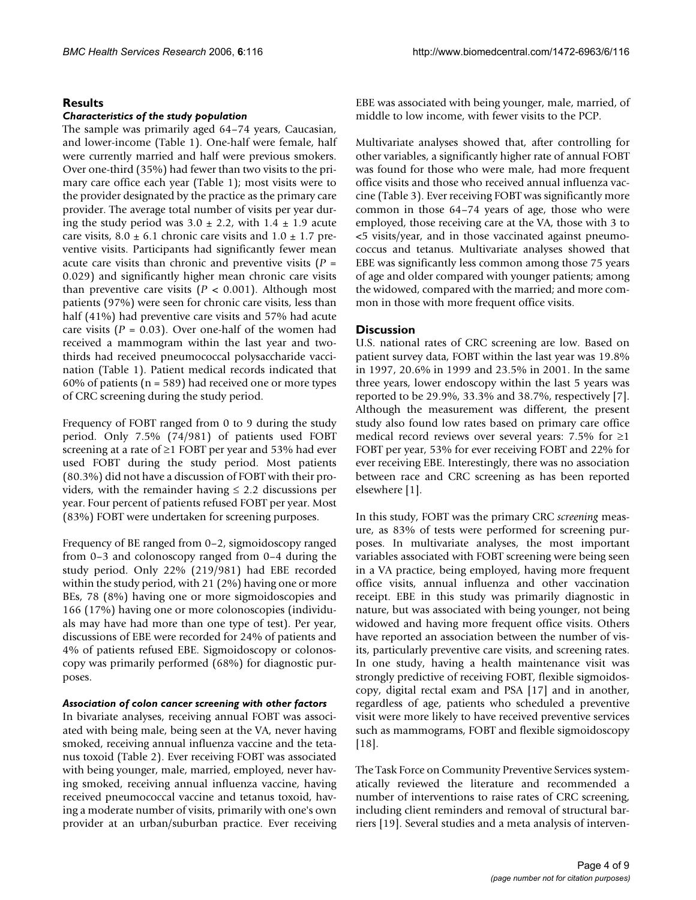# **Results**

#### *Characteristics of the study population*

The sample was primarily aged 64–74 years, Caucasian, and lower-income (Table 1). One-half were female, half were currently married and half were previous smokers. Over one-third (35%) had fewer than two visits to the primary care office each year (Table 1); most visits were to the provider designated by the practice as the primary care provider. The average total number of visits per year during the study period was  $3.0 \pm 2.2$ , with  $1.4 \pm 1.9$  acute care visits,  $8.0 \pm 6.1$  chronic care visits and  $1.0 \pm 1.7$  preventive visits. Participants had significantly fewer mean acute care visits than chronic and preventive visits (*P* = 0.029) and significantly higher mean chronic care visits than preventive care visits  $(P < 0.001)$ . Although most patients (97%) were seen for chronic care visits, less than half (41%) had preventive care visits and 57% had acute care visits  $(P = 0.03)$ . Over one-half of the women had received a mammogram within the last year and twothirds had received pneumococcal polysaccharide vaccination (Table 1). Patient medical records indicated that 60% of patients ( $n = 589$ ) had received one or more types of CRC screening during the study period.

Frequency of FOBT ranged from 0 to 9 during the study period. Only 7.5% (74/981) of patients used FOBT screening at a rate of ≥1 FOBT per year and 53% had ever used FOBT during the study period. Most patients (80.3%) did not have a discussion of FOBT with their providers, with the remainder having  $\leq$  2.2 discussions per year. Four percent of patients refused FOBT per year. Most (83%) FOBT were undertaken for screening purposes.

Frequency of BE ranged from 0–2, sigmoidoscopy ranged from 0–3 and colonoscopy ranged from 0–4 during the study period. Only 22% (219/981) had EBE recorded within the study period, with 21 (2%) having one or more BEs, 78 (8%) having one or more sigmoidoscopies and 166 (17%) having one or more colonoscopies (individuals may have had more than one type of test). Per year, discussions of EBE were recorded for 24% of patients and 4% of patients refused EBE. Sigmoidoscopy or colonoscopy was primarily performed (68%) for diagnostic purposes.

#### *Association of colon cancer screening with other factors*

In bivariate analyses, receiving annual FOBT was associated with being male, being seen at the VA, never having smoked, receiving annual influenza vaccine and the tetanus toxoid (Table 2). Ever receiving FOBT was associated with being younger, male, married, employed, never having smoked, receiving annual influenza vaccine, having received pneumococcal vaccine and tetanus toxoid, having a moderate number of visits, primarily with one's own provider at an urban/suburban practice. Ever receiving EBE was associated with being younger, male, married, of middle to low income, with fewer visits to the PCP.

Multivariate analyses showed that, after controlling for other variables, a significantly higher rate of annual FOBT was found for those who were male, had more frequent office visits and those who received annual influenza vaccine (Table 3). Ever receiving FOBT was significantly more common in those 64–74 years of age, those who were employed, those receiving care at the VA, those with 3 to <5 visits/year, and in those vaccinated against pneumococcus and tetanus. Multivariate analyses showed that EBE was significantly less common among those 75 years of age and older compared with younger patients; among the widowed, compared with the married; and more common in those with more frequent office visits.

## **Discussion**

U.S. national rates of CRC screening are low. Based on patient survey data, FOBT within the last year was 19.8% in 1997, 20.6% in 1999 and 23.5% in 2001. In the same three years, lower endoscopy within the last 5 years was reported to be 29.9%, 33.3% and 38.7%, respectively [7]. Although the measurement was different, the present study also found low rates based on primary care office medical record reviews over several years: 7.5% for  $\geq$ 1 FOBT per year, 53% for ever receiving FOBT and 22% for ever receiving EBE. Interestingly, there was no association between race and CRC screening as has been reported elsewhere [1].

In this study, FOBT was the primary CRC *screening* measure, as 83% of tests were performed for screening purposes. In multivariate analyses, the most important variables associated with FOBT screening were being seen in a VA practice, being employed, having more frequent office visits, annual influenza and other vaccination receipt. EBE in this study was primarily diagnostic in nature, but was associated with being younger, not being widowed and having more frequent office visits. Others have reported an association between the number of visits, particularly preventive care visits, and screening rates. In one study, having a health maintenance visit was strongly predictive of receiving FOBT, flexible sigmoidoscopy, digital rectal exam and PSA [17] and in another, regardless of age, patients who scheduled a preventive visit were more likely to have received preventive services such as mammograms, FOBT and flexible sigmoidoscopy [18].

The Task Force on Community Preventive Services systematically reviewed the literature and recommended a number of interventions to raise rates of CRC screening, including client reminders and removal of structural barriers [19]. Several studies and a meta analysis of interven-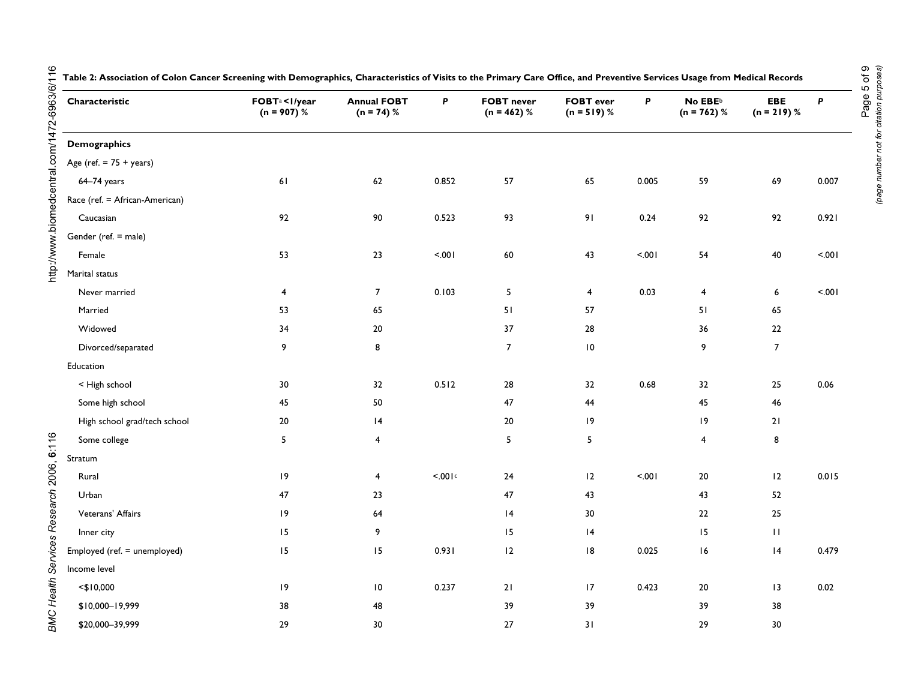| Characteristic                    | FOBT <sup>a</sup> <i year<br=""><math>(n = 907)^{6}</math></i> | <b>Annual FOBT</b><br>$(n = 74) %$ | P       | <b>FOBT</b> never<br>$(n = 462)$ % | <b>FOBT</b> ever<br>$(n = 519) %$ | P     | No $EBE^b$<br>$(n = 762)$ % | EBE<br>$(n = 219) %$ | P      |
|-----------------------------------|----------------------------------------------------------------|------------------------------------|---------|------------------------------------|-----------------------------------|-------|-----------------------------|----------------------|--------|
| <b>Demographics</b>               |                                                                |                                    |         |                                    |                                   |       |                             |                      |        |
| Age (ref. $= 75 + \text{years}$ ) |                                                                |                                    |         |                                    |                                   |       |                             |                      |        |
| 64-74 years                       | 61                                                             | 62                                 | 0.852   | 57                                 | 65                                | 0.005 | 59                          | 69                   | 0.007  |
| Race (ref. = African-American)    |                                                                |                                    |         |                                    |                                   |       |                             |                      |        |
| Caucasian                         | 92                                                             | 90                                 | 0.523   | 93                                 | 91                                | 0.24  | 92                          | 92                   | 0.921  |
| Gender (ref. = male)              |                                                                |                                    |         |                                    |                                   |       |                             |                      |        |
| Female                            | 53                                                             | 23                                 | < .001  | $\bf 60$                           | 43                                | 5001  | 54                          | 40                   | < .001 |
| Marital status                    |                                                                |                                    |         |                                    |                                   |       |                             |                      |        |
| Never married                     | $\overline{4}$                                                 | $\overline{7}$                     | 0.103   | 5                                  | $\overline{4}$                    | 0.03  | $\overline{4}$              | 6                    | 100.5  |
| Married                           | 53                                                             | 65                                 |         | 51                                 | 57                                |       | 51                          | 65                   |        |
| Widowed                           | 34                                                             | $20\,$                             |         | 37                                 | 28                                |       | 36                          | $22\,$               |        |
| Divorced/separated                | 9                                                              | 8                                  |         | $\boldsymbol{7}$                   | $\,$ IO $\,$                      |       | 9                           | $\boldsymbol{7}$     |        |
| Education                         |                                                                |                                    |         |                                    |                                   |       |                             |                      |        |
| < High school                     | 30                                                             | 32                                 | 0.512   | 28                                 | 32                                | 0.68  | 32                          | 25                   | 0.06   |
| Some high school                  | 45                                                             | 50                                 |         | 47                                 | 44                                |       | 45                          | 46                   |        |
| High school grad/tech school      | 20                                                             | 4                                  |         | $20\,$                             | 9                                 |       | 9                           | 21                   |        |
| Some college                      | $5\phantom{.0}$                                                | 4                                  |         | $\overline{5}$                     | 5 <sub>5</sub>                    |       | $\overline{4}$              | 8                    |        |
| Stratum                           |                                                                |                                    |         |                                    |                                   |       |                             |                      |        |
| Rural                             | 9                                                              | $\overline{4}$                     | < 0.01c | 24                                 | 12                                | 5.001 | 20                          | 12                   | 0.015  |
| Urban                             | 47                                                             | 23                                 |         | 47                                 | 43                                |       | 43                          | 52                   |        |
| Veterans' Affairs                 | 9                                                              | 64                                 |         | 4                                  | 30                                |       | 22                          | 25                   |        |
| Inner city                        | 15                                                             | 9                                  |         | 15                                 | 4                                 |       | 15                          | $\mathbf{H}$         |        |
| Employed (ref. = unemployed)      | 15                                                             | 15                                 | 0.931   | 12                                 | 8                                 | 0.025 | 16                          | 4                    | 0.479  |
| Income level                      |                                                                |                                    |         |                                    |                                   |       |                             |                      |        |
| $<$ \$10,000                      | 9                                                              | $\overline{10}$                    | 0.237   | $21$                               | 17                                | 0.423 | 20                          | 13                   | 0.02   |
| \$10,000-19,999                   | 38                                                             | 48                                 |         | 39                                 | 39                                |       | 39                          | 38                   |        |
| \$20,000-39,999                   | 29                                                             | 30                                 |         | 27                                 | 31                                |       | 29                          | 30                   |        |

**Table 2: Association of Colon Cancer Screening with Demographics, Characteristics of Visits to the Primary Care Office, and Preventive Services Usage from Medical Records**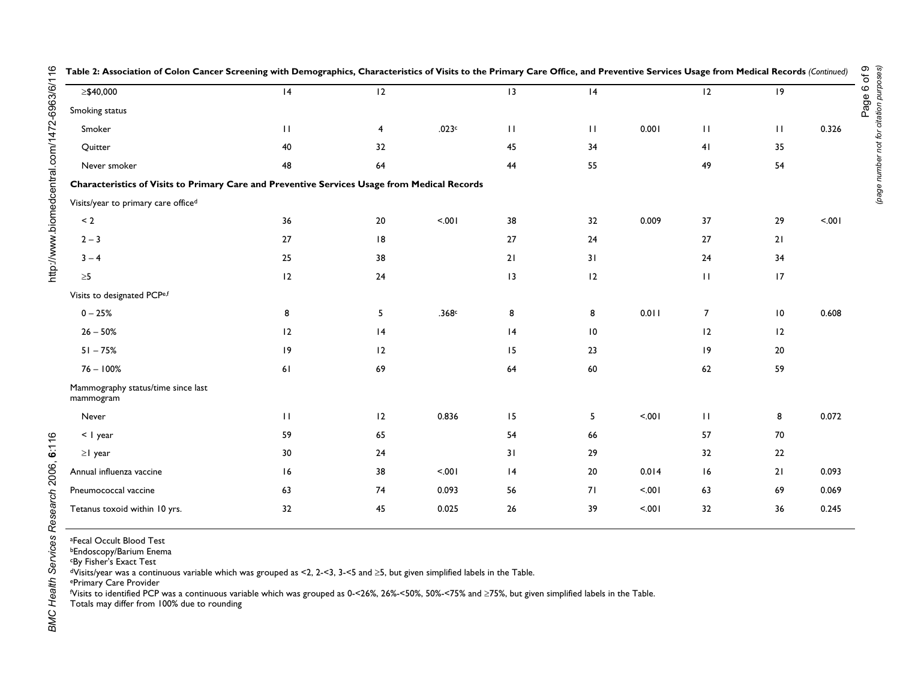|                                                                                              | $\frac{1}{2}$ and $\frac{1}{2}$ and $\frac{1}{2}$ and $\frac{1}{2}$ and $\frac{1}{2}$ and $\frac{1}{2}$ and $\frac{1}{2}$ and $\frac{1}{2}$ and $\frac{1}{2}$ |          |        |              | $\mathcal{L}$ . The case of $\mathcal{L}$ is the contract of $\mathcal{L}$ . The case of $\mathcal{L}$ |        |                    |                              |        |
|----------------------------------------------------------------------------------------------|---------------------------------------------------------------------------------------------------------------------------------------------------------------|----------|--------|--------------|--------------------------------------------------------------------------------------------------------|--------|--------------------|------------------------------|--------|
| ≥\$40,000                                                                                    | 4                                                                                                                                                             | 12       |        | 13           | 4                                                                                                      |        | 12                 | 9                            |        |
| Smoking status                                                                               |                                                                                                                                                               |          |        |              |                                                                                                        |        |                    |                              |        |
| Smoker                                                                                       | $\mathbf{H}$                                                                                                                                                  | 4        | .023c  | $\mathbf{H}$ | $\mathbf{H}$                                                                                           | 0.001  | $\mathbf{H}$       | $\mathbf{H}$                 | 0.326  |
| Quitter                                                                                      | 40                                                                                                                                                            | 32       |        | 45           | 34                                                                                                     |        | 41                 | 35                           |        |
| Never smoker                                                                                 | 48                                                                                                                                                            | 64       |        | 44           | 55                                                                                                     |        | 49                 | 54                           |        |
| Characteristics of Visits to Primary Care and Preventive Services Usage from Medical Records |                                                                                                                                                               |          |        |              |                                                                                                        |        |                    |                              |        |
| Visits/year to primary care officed                                                          |                                                                                                                                                               |          |        |              |                                                                                                        |        |                    |                              |        |
| $\leq 2$                                                                                     | 36                                                                                                                                                            | 20       | < .001 | 38           | 32                                                                                                     | 0.009  | 37                 | $29$                         | < .001 |
| $2 - 3$                                                                                      | 27                                                                                                                                                            | 8        |        | 27           | $24$                                                                                                   |        | 27                 | 21                           |        |
| $3 - 4$                                                                                      | 25                                                                                                                                                            | 38       |        | 21           | 31                                                                                                     |        | 24                 | 34                           |        |
| $\geq 5$                                                                                     | 12                                                                                                                                                            | 24       |        | 13           | 12                                                                                                     |        | $\mathbf{H}$       | 17                           |        |
| Visits to designated PCPe,f                                                                  |                                                                                                                                                               |          |        |              |                                                                                                        |        |                    |                              |        |
| $0 - 25%$                                                                                    | 8                                                                                                                                                             | 5        | .368c  | 8            | 8                                                                                                      | 0.011  | $\overline{7}$     | $\overline{\phantom{0}}$ l 0 | 0.608  |
| $26 - 50%$                                                                                   | 12                                                                                                                                                            | 4        |        | 4            | $\overline{10}$                                                                                        |        | 12                 | 2                            |        |
| $51 - 75%$                                                                                   | 19                                                                                                                                                            | 2        |        | 15           | 23                                                                                                     |        | 9                  | 20                           |        |
| $76 - 100%$                                                                                  | 61                                                                                                                                                            | 69       |        | 64           | $60\,$                                                                                                 |        | 62                 | 59                           |        |
| Mammography status/time since last<br>mammogram                                              |                                                                                                                                                               |          |        |              |                                                                                                        |        |                    |                              |        |
| Never                                                                                        | $\mathbf{H}$                                                                                                                                                  | 12       | 0.836  | 15           | 5                                                                                                      | < .001 | $\mathbf{H}% _{0}$ | 8                            | 0.072  |
| < I year                                                                                     | 59                                                                                                                                                            | 65       |        | 54           | 66                                                                                                     |        | 57                 | $70\,$                       |        |
| $\geq$   year                                                                                | 30                                                                                                                                                            | 24       |        | 31           | 29                                                                                                     |        | 32                 | $22\,$                       |        |
| Annual influenza vaccine                                                                     | 16                                                                                                                                                            | 38       | 100.5  | 4            | $20\,$                                                                                                 | 0.014  | 16                 | 21                           | 0.093  |
| Pneumococcal vaccine                                                                         | 63                                                                                                                                                            | $\bf 74$ | 0.093  | 56           | 71                                                                                                     | < .001 | 63                 | 69                           | 0.069  |
| Tetanus toxoid within 10 yrs.                                                                | 32                                                                                                                                                            | 45       | 0.025  | $26\,$       | 39                                                                                                     | 5.001  | 32                 | 36                           | 0.245  |
|                                                                                              |                                                                                                                                                               |          |        |              |                                                                                                        |        |                    |                              |        |

**Table 2: Association of Colon Cancer Screening with Demographics, Characteristics of Visits to the Primary Care Office, and Preventive Services Usage from Medical Records** *(Continued)*

Page 6 of 9

*(page number not for citation purposes)*

Page number not for citation purposes)<br>(page number not for citation purposes)

BMC Health Services Research 2006, 6:116

aFecal Occult Blood Test

bEndoscopy/Barium Enema

cBy Fisher's Exact Test

dVisits/year was a continuous variable which was grouped as <2, 2-<3, 3-<5 and ≥5, but given simplified labels in the Table.

ePrimary Care Provider

f Visits to identified PCP was a continuous variable which was grouped as 0-<26%, 26%-<50%, 50%-<75% and ≥75%, but given simplified labels in the Table.

Totals may differ from 100% due to rounding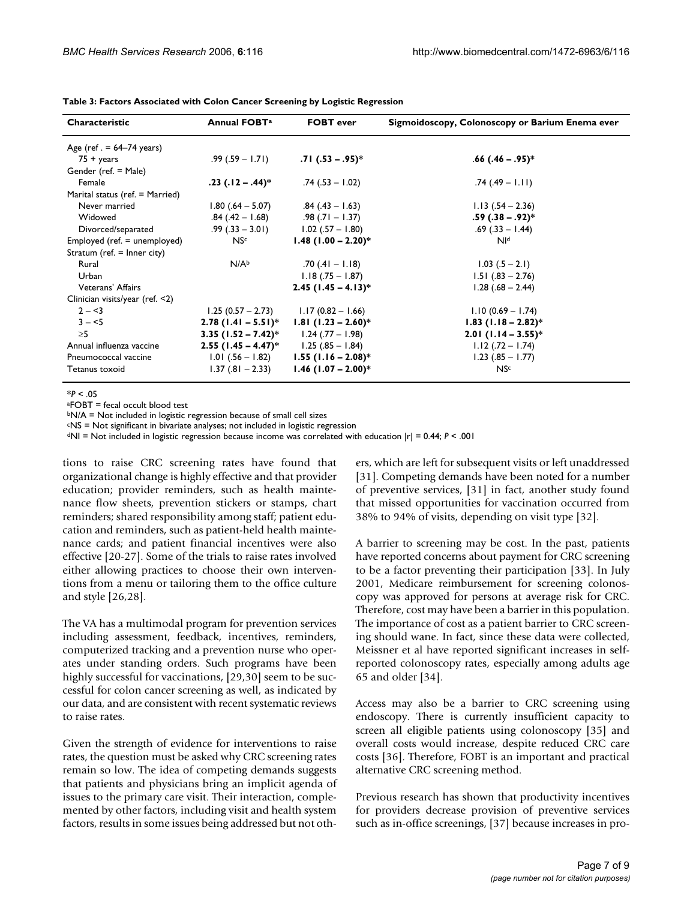| Characteristic                  | <b>Annual FOBT<sup>a</sup></b>                | <b>FOBT</b> ever                          | Sigmoidoscopy, Colonoscopy or Barium Enema ever |
|---------------------------------|-----------------------------------------------|-------------------------------------------|-------------------------------------------------|
| Age (ref. $= 64-74$ years)      |                                               |                                           |                                                 |
| $75 + \text{years}$             |                                               | $.99(.59 - 1.71)$ .71 (.53 – .95)*        | $.66(.46-.95)*$                                 |
| Gender (ref. = Male)            |                                               |                                           |                                                 |
| Female                          | $.23$ ( $.12 - .44$ )*                        | $.74(.53 - 1.02)$                         | $.74(.49 - 1.11)$                               |
| Marital status (ref. = Married) |                                               |                                           |                                                 |
| Never married                   | $1.80(.64 - 5.07)$ .84 $(.43 - 1.63)$         |                                           | $1.13(.54 - 2.36)$                              |
| Widowed                         | $.84(.42 - 1.68)$ .98 $(.71 - 1.37)$          |                                           | $.59(.38-.92)*$                                 |
| Divorced/separated              |                                               | $.99(.33 - 3.01)$ $.02(.57 - 1.80)$       | $.69(.33 - 1.44)$                               |
| Employed (ref. = unemployed)    | NS <sup>c</sup>                               | $1.48$ (1.00 - 2.20)*                     | $N^{d}$                                         |
| Stratum (ref. = Inner city)     |                                               |                                           |                                                 |
| Rural                           | N/A <sup>b</sup>                              | $.70(.41 - 1.18)$                         | $1.03(.5 - 2.1)$                                |
| Urban                           |                                               | $1.18(.75 - 1.87)$                        | $1.51(.83 - 2.76)$                              |
| Veterans' Affairs               |                                               | $2.45$ (1.45 – 4.13)*                     | $1.28(.68 - 2.44)$                              |
| Clinician visits/year (ref. <2) |                                               |                                           |                                                 |
| $2 - 3$                         | $1.25(0.57 - 2.73)$                           | $1.17(0.82 - 1.66)$                       | $1.10(0.69 - 1.74)$                             |
| $3 - 5$                         |                                               | $2.78$ (1.41 – 5.51)* 1.81 (1.23 – 2.60)* | $1.83$ (1.18 – 2.82)*                           |
| >5                              | 3.35 $(1.52 - 7.42)^*$ 1.24 $(.77 - 1.98)$    |                                           | $2.01$ (1.14 – 3.55)*                           |
| Annual influenza vaccine        | <b>2.55 (1.45 – 4.47)</b> * 1.25 (.85 – 1.84) |                                           | $1.12(.72 - 1.74)$                              |
| Pneumococcal vaccine            |                                               | $1.01(.56 - 1.82)$ 1.55 (1.16 – 2.08)*    | $1.23(.85 - 1.77)$                              |
| Tetanus toxoid                  |                                               | $1.37(.81 - 2.33)$ 1.46 $(1.07 - 2.00)^*$ | NS <sub>c</sub>                                 |

**Table 3: Factors Associated with Colon Cancer Screening by Logistic Regression**

 $*P < .05$ 

aFOBT = fecal occult blood test

bN/A = Not included in logistic regression because of small cell sizes

cNS = Not significant in bivariate analyses; not included in logistic regression

dNI = Not included in logistic regression because income was correlated with education |r| = 0.44; *P* < .001

tions to raise CRC screening rates have found that organizational change is highly effective and that provider education; provider reminders, such as health maintenance flow sheets, prevention stickers or stamps, chart reminders; shared responsibility among staff; patient education and reminders, such as patient-held health maintenance cards; and patient financial incentives were also effective [20-27]. Some of the trials to raise rates involved either allowing practices to choose their own interventions from a menu or tailoring them to the office culture and style [26,28].

The VA has a multimodal program for prevention services including assessment, feedback, incentives, reminders, computerized tracking and a prevention nurse who operates under standing orders. Such programs have been highly successful for vaccinations, [29,30] seem to be successful for colon cancer screening as well, as indicated by our data, and are consistent with recent systematic reviews to raise rates.

Given the strength of evidence for interventions to raise rates, the question must be asked why CRC screening rates remain so low. The idea of competing demands suggests that patients and physicians bring an implicit agenda of issues to the primary care visit. Their interaction, complemented by other factors, including visit and health system factors, results in some issues being addressed but not others, which are left for subsequent visits or left unaddressed [31]. Competing demands have been noted for a number of preventive services, [31] in fact, another study found that missed opportunities for vaccination occurred from 38% to 94% of visits, depending on visit type [32].

A barrier to screening may be cost. In the past, patients have reported concerns about payment for CRC screening to be a factor preventing their participation [33]. In July 2001, Medicare reimbursement for screening colonoscopy was approved for persons at average risk for CRC. Therefore, cost may have been a barrier in this population. The importance of cost as a patient barrier to CRC screening should wane. In fact, since these data were collected, Meissner et al have reported significant increases in selfreported colonoscopy rates, especially among adults age 65 and older [34].

Access may also be a barrier to CRC screening using endoscopy. There is currently insufficient capacity to screen all eligible patients using colonoscopy [35] and overall costs would increase, despite reduced CRC care costs [36]. Therefore, FOBT is an important and practical alternative CRC screening method.

Previous research has shown that productivity incentives for providers decrease provision of preventive services such as in-office screenings, [37] because increases in pro-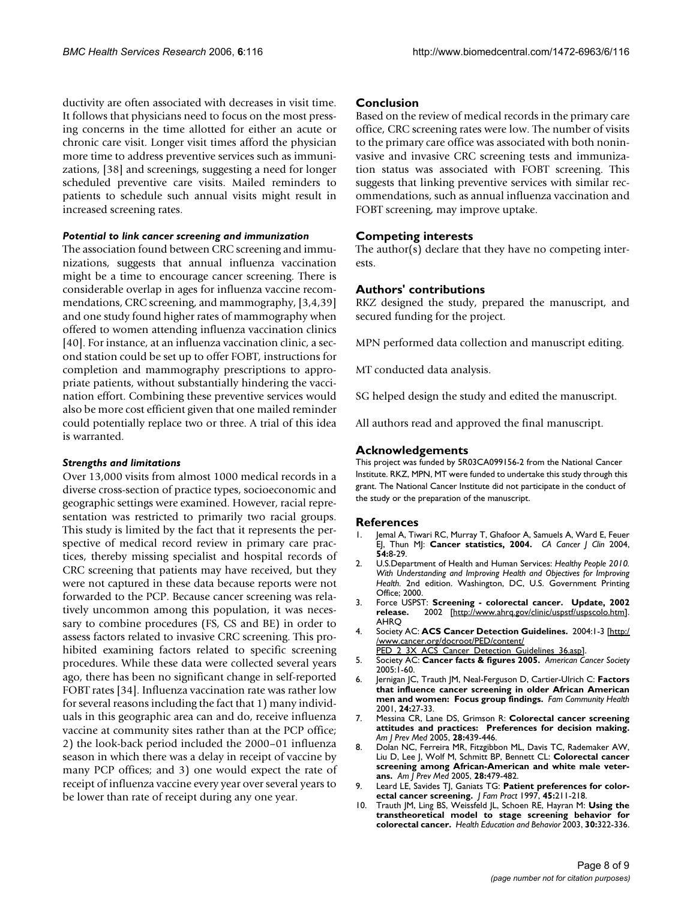ductivity are often associated with decreases in visit time. It follows that physicians need to focus on the most pressing concerns in the time allotted for either an acute or chronic care visit. Longer visit times afford the physician more time to address preventive services such as immunizations, [38] and screenings, suggesting a need for longer scheduled preventive care visits. Mailed reminders to patients to schedule such annual visits might result in increased screening rates.

#### *Potential to link cancer screening and immunization*

The association found between CRC screening and immunizations, suggests that annual influenza vaccination might be a time to encourage cancer screening. There is considerable overlap in ages for influenza vaccine recommendations, CRC screening, and mammography, [3,4,39] and one study found higher rates of mammography when offered to women attending influenza vaccination clinics [40]. For instance, at an influenza vaccination clinic, a second station could be set up to offer FOBT, instructions for completion and mammography prescriptions to appropriate patients, without substantially hindering the vaccination effort. Combining these preventive services would also be more cost efficient given that one mailed reminder could potentially replace two or three. A trial of this idea is warranted.

#### *Strengths and limitations*

Over 13,000 visits from almost 1000 medical records in a diverse cross-section of practice types, socioeconomic and geographic settings were examined. However, racial representation was restricted to primarily two racial groups. This study is limited by the fact that it represents the perspective of medical record review in primary care practices, thereby missing specialist and hospital records of CRC screening that patients may have received, but they were not captured in these data because reports were not forwarded to the PCP. Because cancer screening was relatively uncommon among this population, it was necessary to combine procedures (FS, CS and BE) in order to assess factors related to invasive CRC screening. This prohibited examining factors related to specific screening procedures. While these data were collected several years ago, there has been no significant change in self-reported FOBT rates [34]. Influenza vaccination rate was rather low for several reasons including the fact that 1) many individuals in this geographic area can and do, receive influenza vaccine at community sites rather than at the PCP office; 2) the look-back period included the 2000–01 influenza season in which there was a delay in receipt of vaccine by many PCP offices; and 3) one would expect the rate of receipt of influenza vaccine every year over several years to be lower than rate of receipt during any one year.

#### **Conclusion**

Based on the review of medical records in the primary care office, CRC screening rates were low. The number of visits to the primary care office was associated with both noninvasive and invasive CRC screening tests and immunization status was associated with FOBT screening. This suggests that linking preventive services with similar recommendations, such as annual influenza vaccination and FOBT screening, may improve uptake.

#### **Competing interests**

The author(s) declare that they have no competing interests.

#### **Authors' contributions**

RKZ designed the study, prepared the manuscript, and secured funding for the project.

MPN performed data collection and manuscript editing.

MT conducted data analysis.

SG helped design the study and edited the manuscript.

All authors read and approved the final manuscript.

#### **Acknowledgements**

This project was funded by 5R03CA099156-2 from the National Cancer Institute. RKZ, MPN, MT were funded to undertake this study through this grant. The National Cancer Institute did not participate in the conduct of the study or the preparation of the manuscript.

#### **References**

- 1. Jemal A, Tiwari RC, Murray T, Ghafoor A, Samuels A, Ward E, Feuer EJ, Thun MJ: **[Cancer statistics, 2004.](http://www.ncbi.nlm.nih.gov/entrez/query.fcgi?cmd=Retrieve&db=PubMed&dopt=Abstract&list_uids=14974761)** *CA Cancer J Clin* 2004, **54:**8-29.
- 2. U.S.Department of Health and Human Services: *Healthy People 2010. With Understanding and Improving Health and Objectives for Improving Health.* 2nd edition. Washington, DC, U.S. Government Printing Office; 2000.
- 3. Force USPST: **Screening colorectal cancer. Update, 2002 release.** 2002 [[http://www.ahrq.gov/clinic/uspstf/uspscolo.htm\]](http://www.ahrq.gov/clinic/uspstf/uspscolo.htm). AHRQ
- 4. Society AC: **ACS Cancer Detection Guidelines.** 2004:1-3 [[http:/](http://www.cancer.org/docroot/PED/content/PED_2_3X_ACS_Cancer_Detection_Guidelines_36.asp) [/www.cancer.org/docroot/PED/content/](http://www.cancer.org/docroot/PED/content/PED_2_3X_ACS_Cancer_Detection_Guidelines_36.asp)
	- [PED\\_2\\_3X\\_ACS\\_Cancer\\_Detection\\_Guidelines\\_36.asp\]](http://www.cancer.org/docroot/PED/content/PED_2_3X_ACS_Cancer_Detection_Guidelines_36.asp).
- 5. Society AC: **Cancer facts & figures 2005.** *American Cancer Society* 2005:1-60.
- 6. Jernigan JC, Trauth JM, Neal-Ferguson D, Cartier-Ulrich C: **[Factors](http://www.ncbi.nlm.nih.gov/entrez/query.fcgi?cmd=Retrieve&db=PubMed&dopt=Abstract&list_uids=11563942) [that influence cancer screening in older African American](http://www.ncbi.nlm.nih.gov/entrez/query.fcgi?cmd=Retrieve&db=PubMed&dopt=Abstract&list_uids=11563942) [men and women: Focus group findings.](http://www.ncbi.nlm.nih.gov/entrez/query.fcgi?cmd=Retrieve&db=PubMed&dopt=Abstract&list_uids=11563942)** *Fam Community Health* 2001, **24:**27-33.
- 7. Messina CR, Lane DS, Grimson R: **[Colorectal cancer screening](http://www.ncbi.nlm.nih.gov/entrez/query.fcgi?cmd=Retrieve&db=PubMed&dopt=Abstract&list_uids=15894147) [attitudes and practices: Preferences for decision making.](http://www.ncbi.nlm.nih.gov/entrez/query.fcgi?cmd=Retrieve&db=PubMed&dopt=Abstract&list_uids=15894147)** *Am J Prev Med* 2005, **28:**439-446.
- 8. Dolan NC, Ferreira MR, Fitzgibbon ML, Davis TC, Rademaker AW, Liu D, Lee J, Wolf M, Schmitt BP, Bennett CL: **[Colorectal cancer](http://www.ncbi.nlm.nih.gov/entrez/query.fcgi?cmd=Retrieve&db=PubMed&dopt=Abstract&list_uids=15894152) [screening among African-American and white male veter](http://www.ncbi.nlm.nih.gov/entrez/query.fcgi?cmd=Retrieve&db=PubMed&dopt=Abstract&list_uids=15894152)[ans.](http://www.ncbi.nlm.nih.gov/entrez/query.fcgi?cmd=Retrieve&db=PubMed&dopt=Abstract&list_uids=15894152)** *Am J Prev Med* 2005, **28:**479-482.
- 9. Leard LE, Savides TJ, Ganiats TG: **[Patient preferences for color](http://www.ncbi.nlm.nih.gov/entrez/query.fcgi?cmd=Retrieve&db=PubMed&dopt=Abstract&list_uids=9300000)[ectal cancer screening.](http://www.ncbi.nlm.nih.gov/entrez/query.fcgi?cmd=Retrieve&db=PubMed&dopt=Abstract&list_uids=9300000)** *J Fam Pract* 1997, **45:**211-218.
- 10. Trauth JM, Ling BS, Weissfeld JL, Schoen RE, Hayran M: **Using the transtheoretical model to stage screening behavior for colorectal cancer.** *Health Education and Behavior* 2003, **30:**322-336.